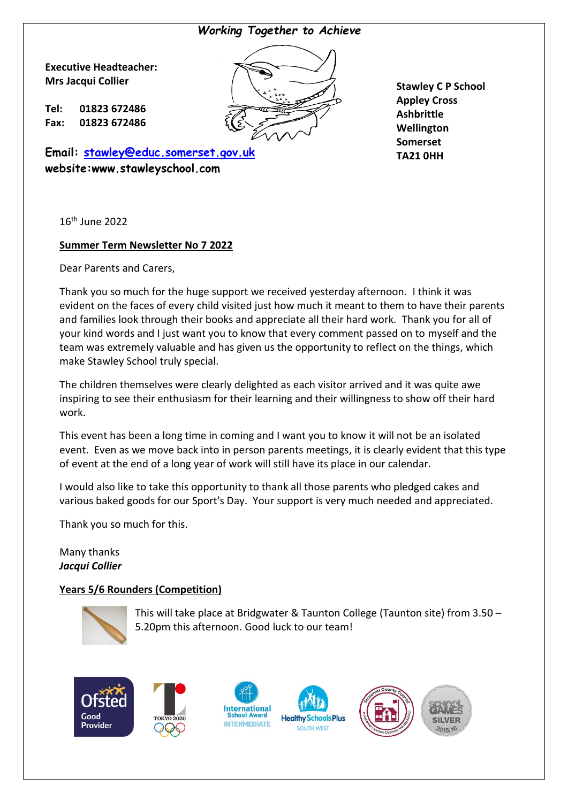## *Working Together to Achieve*

Q N **Executive Headteacher: Mrs Jacqui Collier**

**Tel: 01823 672486 Fax: 01823 672486**

**Email: [stawley@educ.somerset.gov.uk](mailto:stawley@educ.somerset.gov.uk) website:www.stawleyschool.com**

**Stawley C P School Appley Cross Ashbrittle Wellington Somerset TA21 0HH**

16th June 2022

## **Summer Term Newsletter No 7 2022**

Dear Parents and Carers,

Thank you so much for the huge support we received yesterday afternoon. I think it was evident on the faces of every child visited just how much it meant to them to have their parents and families look through their books and appreciate all their hard work. Thank you for all of your kind words and I just want you to know that every comment passed on to myself and the team was extremely valuable and has given us the opportunity to reflect on the things, which make Stawley School truly special.

The children themselves were clearly delighted as each visitor arrived and it was quite awe inspiring to see their enthusiasm for their learning and their willingness to show off their hard work.

This event has been a long time in coming and I want you to know it will not be an isolated event. Even as we move back into in person parents meetings, it is clearly evident that this type of event at the end of a long year of work will still have its place in our calendar.

I would also like to take this opportunity to thank all those parents who pledged cakes and various baked goods for our Sport's Day. Your support is very much needed and appreciated.

Thank you so much for this.

Many thanks *Jacqui Collier*

#### **Years 5/6 Rounders (Competition)**



This will take place at Bridgwater & Taunton College (Taunton site) from 3.50 – 5.20pm this afternoon. Good luck to our team!









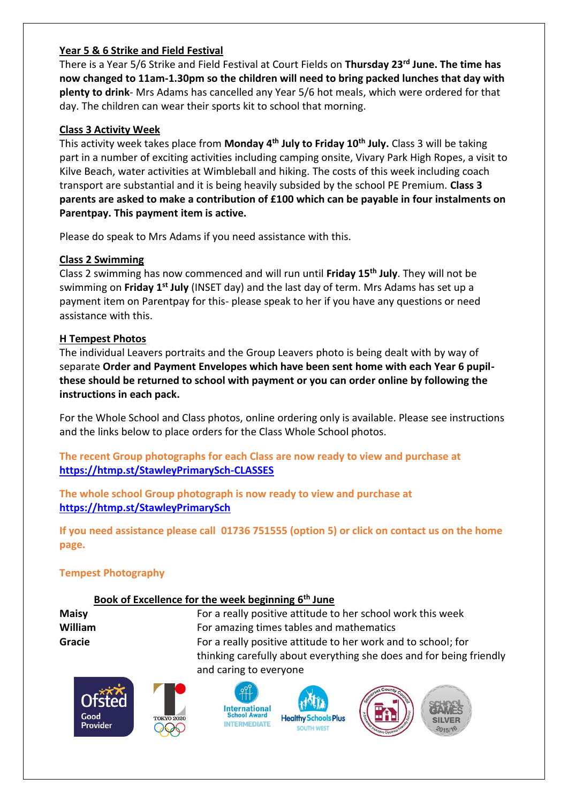## **Year 5 & 6 Strike and Field Festival**

There is a Year 5/6 Strike and Field Festival at Court Fields on **Thursday 23rd June. The time has now changed to 11am-1.30pm so the children will need to bring packed lunches that day with plenty to drink**- Mrs Adams has cancelled any Year 5/6 hot meals, which were ordered for that day. The children can wear their sports kit to school that morning.

## **Class 3 Activity Week**

This activity week takes place from **Monday 4th July to Friday 10th July.** Class 3 will be taking part in a number of exciting activities including camping onsite, Vivary Park High Ropes, a visit to Kilve Beach, water activities at Wimbleball and hiking. The costs of this week including coach transport are substantial and it is being heavily subsided by the school PE Premium. **Class 3 parents are asked to make a contribution of £100 which can be payable in four instalments on Parentpay. This payment item is active.** 

Please do speak to Mrs Adams if you need assistance with this.

## **Class 2 Swimming**

Class 2 swimming has now commenced and will run until **Friday 15th July**. They will not be swimming on **Friday 1st July** (INSET day) and the last day of term. Mrs Adams has set up a payment item on Parentpay for this- please speak to her if you have any questions or need assistance with this.

## **H Tempest Photos**

The individual Leavers portraits and the Group Leavers photo is being dealt with by way of separate **Order and Payment Envelopes which have been sent home with each Year 6 pupilthese should be returned to school with payment or you can order online by following the instructions in each pack.** 

For the Whole School and Class photos, online ordering only is available. Please see instructions and the links below to place orders for the Class Whole School photos.

**The recent Group photographs for each Class are now ready to view and purchase at <https://htmp.st/StawleyPrimarySch-CLASSES>**

**The whole school Group photograph is now ready to view and purchase at <https://htmp.st/StawleyPrimarySch>**

**If you need assistance please call 01736 751555 (option 5) or click on contact us on the home page.** 

# **Tempest Photography**

# **Book of Excellence for the week beginning 6 th June**

**Maisy** For a really positive attitude to her school work this week **William For amazing times tables and mathematics Gracie Gracie Example 20** For a really positive attitude to her work and to school; for thinking carefully about everything she does and for being friendly and caring to everyone







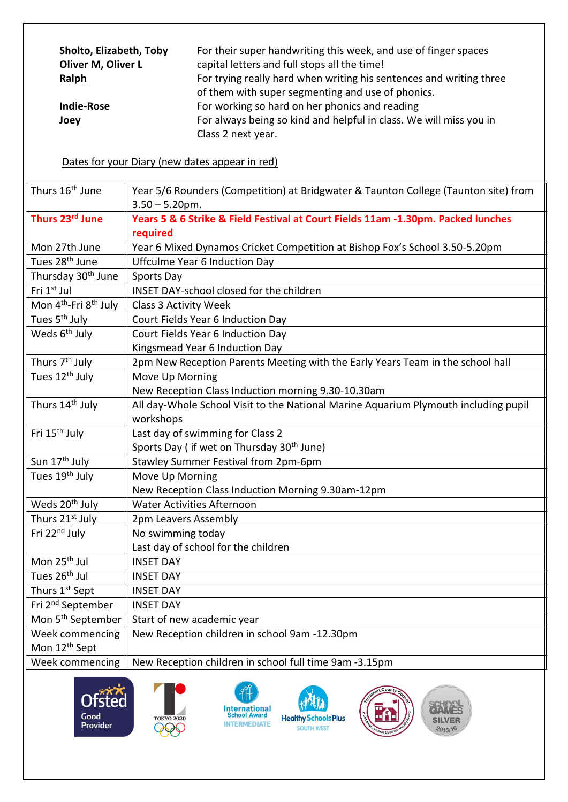| Sholto, Elizabeth, Toby<br>Oliver M, Oliver L | For their super handwriting this week, and use of finger spaces<br>capital letters and full stops all the time! |
|-----------------------------------------------|-----------------------------------------------------------------------------------------------------------------|
| Ralph                                         | For trying really hard when writing his sentences and writing three                                             |
|                                               | of them with super segmenting and use of phonics.                                                               |
| <b>Indie-Rose</b>                             | For working so hard on her phonics and reading                                                                  |
| Joey                                          | For always being so kind and helpful in class. We will miss you in                                              |
|                                               | Class 2 next year.                                                                                              |

## Dates for your Diary (new dates appear in red)

| Thurs 16 <sup>th</sup> June                   | Year 5/6 Rounders (Competition) at Bridgwater & Taunton College (Taunton site) from |
|-----------------------------------------------|-------------------------------------------------------------------------------------|
|                                               | $3.50 - 5.20$ pm.                                                                   |
| Thurs 23rd June                               | Years 5 & 6 Strike & Field Festival at Court Fields 11am -1.30pm. Packed lunches    |
|                                               | required                                                                            |
| Mon 27th June                                 | Year 6 Mixed Dynamos Cricket Competition at Bishop Fox's School 3.50-5.20pm         |
| Tues 28 <sup>th</sup> June                    | <b>Uffculme Year 6 Induction Day</b>                                                |
| Thursday 30 <sup>th</sup> June                | Sports Day                                                                          |
| Fri 1st Jul                                   | INSET DAY-school closed for the children                                            |
| Mon 4 <sup>th</sup> -Fri 8 <sup>th</sup> July | <b>Class 3 Activity Week</b>                                                        |
| Tues 5 <sup>th</sup> July                     | Court Fields Year 6 Induction Day                                                   |
| Weds 6 <sup>th</sup> July                     | Court Fields Year 6 Induction Day                                                   |
|                                               | Kingsmead Year 6 Induction Day                                                      |
| Thurs 7 <sup>th</sup> July                    | 2pm New Reception Parents Meeting with the Early Years Team in the school hall      |
| Tues 12 <sup>th</sup> July                    | Move Up Morning                                                                     |
|                                               | New Reception Class Induction morning 9.30-10.30am                                  |
| Thurs 14 <sup>th</sup> July                   | All day-Whole School Visit to the National Marine Aquarium Plymouth including pupil |
|                                               | workshops                                                                           |
| Fri 15 <sup>th</sup> July                     | Last day of swimming for Class 2                                                    |
|                                               | Sports Day ( if wet on Thursday 30 <sup>th</sup> June)                              |
| Sun 17 <sup>th</sup> July                     | Stawley Summer Festival from 2pm-6pm                                                |
| Tues 19 <sup>th</sup> July                    | Move Up Morning                                                                     |
|                                               | New Reception Class Induction Morning 9.30am-12pm                                   |
| Weds 20 <sup>th</sup> July                    | <b>Water Activities Afternoon</b>                                                   |
| Thurs 21st July                               | 2pm Leavers Assembly                                                                |
| Fri 22 <sup>nd</sup> July                     | No swimming today                                                                   |
|                                               | Last day of school for the children                                                 |
| Mon 25 <sup>th</sup> Jul                      | <b>INSET DAY</b>                                                                    |
| Tues 26 <sup>th</sup> Jul                     | <b>INSET DAY</b>                                                                    |
| Thurs 1st Sept                                | <b>INSET DAY</b>                                                                    |
| Fri 2 <sup>nd</sup> September                 | <b>INSET DAY</b>                                                                    |
| Mon 5 <sup>th</sup> September                 | Start of new academic year                                                          |
| Week commencing                               | New Reception children in school 9am -12.30pm                                       |
| Mon 12 <sup>th</sup> Sept                     |                                                                                     |
| Week commencing                               | New Reception children in school full time 9am -3.15pm                              |





 $\frac{9}{11}$ **International<br>School Award<br>INTERMEDIATE**